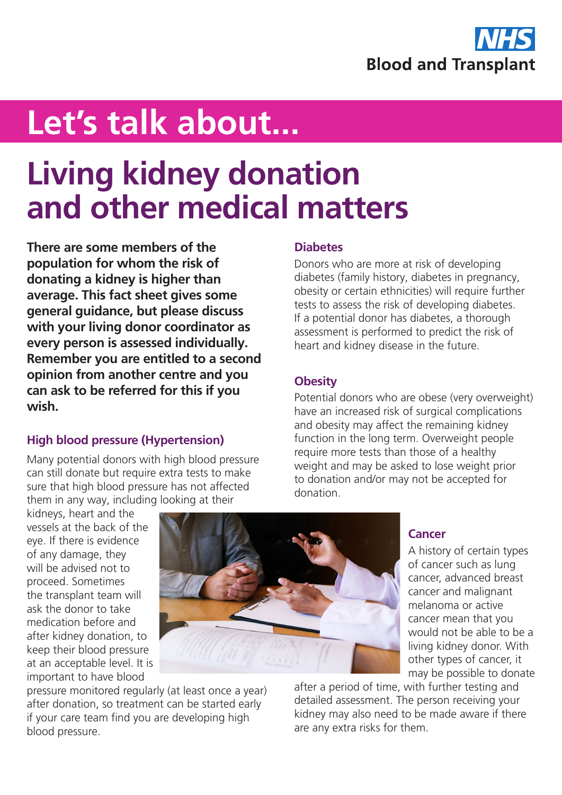

# **Let's talk about...**

## **Living kidney donation and other medical matters**

**There are some members of the population for whom the risk of donating a kidney is higher than average. This fact sheet gives some general guidance, but please discuss with your living donor coordinator as every person is assessed individually. Remember you are entitled to a second opinion from another centre and you can ask to be referred for this if you wish.**

### **High blood pressure (Hypertension)**

Many potential donors with high blood pressure can still donate but require extra tests to make sure that high blood pressure has not affected them in any way, including looking at their

#### **Diabetes**

Donors who are more at risk of developing diabetes (family history, diabetes in pregnancy, obesity or certain ethnicities) will require further tests to assess the risk of developing diabetes. If a potential donor has diabetes, a thorough assessment is performed to predict the risk of heart and kidney disease in the future.

#### **Obesity**

Potential donors who are obese (very overweight) have an increased risk of surgical complications and obesity may affect the remaining kidney function in the long term. Overweight people require more tests than those of a healthy weight and may be asked to lose weight prior to donation and/or may not be accepted for donation.

kidneys, heart and the vessels at the back of the eye. If there is evidence of any damage, they will be advised not to proceed. Sometimes the transplant team will ask the donor to take medication before and after kidney donation, to keep their blood pressure at an acceptable level. It is important to have blood



pressure monitored regularly (at least once a year) after donation, so treatment can be started early if your care team find you are developing high blood pressure.

#### **Cancer**

A history of certain types of cancer such as lung cancer, advanced breast cancer and malignant melanoma or active cancer mean that you would not be able to be a living kidney donor. With other types of cancer, it may be possible to donate

after a period of time, with further testing and detailed assessment. The person receiving your kidney may also need to be made aware if there are any extra risks for them.